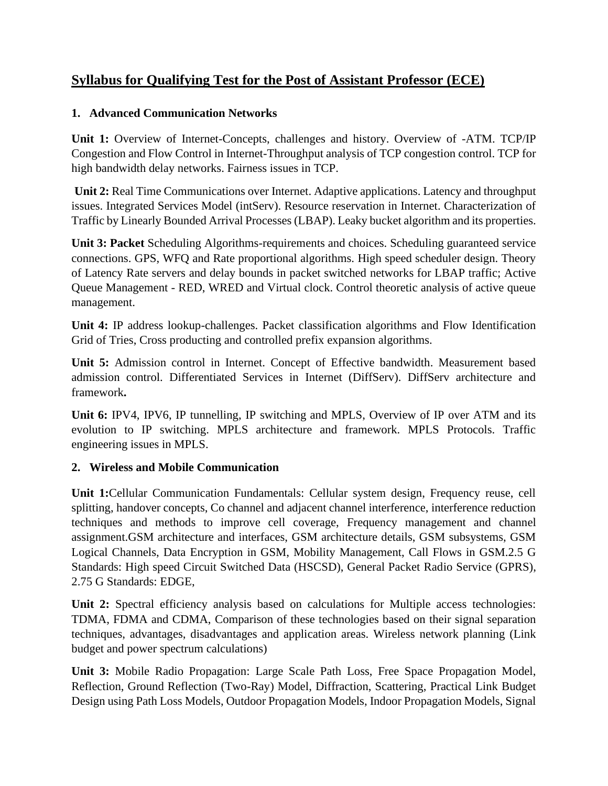# **Syllabus for Qualifying Test for the Post of Assistant Professor (ECE)**

### **1. Advanced Communication Networks**

**Unit 1:** Overview of Internet-Concepts, challenges and history. Overview of -ATM. TCP/IP Congestion and Flow Control in Internet-Throughput analysis of TCP congestion control. TCP for high bandwidth delay networks. Fairness issues in TCP.

**Unit 2:** Real Time Communications over Internet. Adaptive applications. Latency and throughput issues. Integrated Services Model (intServ). Resource reservation in Internet. Characterization of Traffic by Linearly Bounded Arrival Processes (LBAP). Leaky bucket algorithm and its properties.

**Unit 3: Packet** Scheduling Algorithms-requirements and choices. Scheduling guaranteed service connections. GPS, WFQ and Rate proportional algorithms. High speed scheduler design. Theory of Latency Rate servers and delay bounds in packet switched networks for LBAP traffic; Active Queue Management - RED, WRED and Virtual clock. Control theoretic analysis of active queue management.

**Unit 4:** IP address lookup-challenges. Packet classification algorithms and Flow Identification Grid of Tries, Cross producting and controlled prefix expansion algorithms.

**Unit 5:** Admission control in Internet. Concept of Effective bandwidth. Measurement based admission control. Differentiated Services in Internet (DiffServ). DiffServ architecture and framework**.** 

**Unit 6:** IPV4, IPV6, IP tunnelling, IP switching and MPLS, Overview of IP over ATM and its evolution to IP switching. MPLS architecture and framework. MPLS Protocols. Traffic engineering issues in MPLS.

## **2. Wireless and Mobile Communication**

**Unit 1:**Cellular Communication Fundamentals: Cellular system design, Frequency reuse, cell splitting, handover concepts, Co channel and adjacent channel interference, interference reduction techniques and methods to improve cell coverage, Frequency management and channel assignment.GSM architecture and interfaces, GSM architecture details, GSM subsystems, GSM Logical Channels, Data Encryption in GSM, Mobility Management, Call Flows in GSM.2.5 G Standards: High speed Circuit Switched Data (HSCSD), General Packet Radio Service (GPRS), 2.75 G Standards: EDGE,

Unit 2: Spectral efficiency analysis based on calculations for Multiple access technologies: TDMA, FDMA and CDMA, Comparison of these technologies based on their signal separation techniques, advantages, disadvantages and application areas. Wireless network planning (Link budget and power spectrum calculations)

**Unit 3:** Mobile Radio Propagation: Large Scale Path Loss, Free Space Propagation Model, Reflection, Ground Reflection (Two-Ray) Model, Diffraction, Scattering, Practical Link Budget Design using Path Loss Models, Outdoor Propagation Models, Indoor Propagation Models, Signal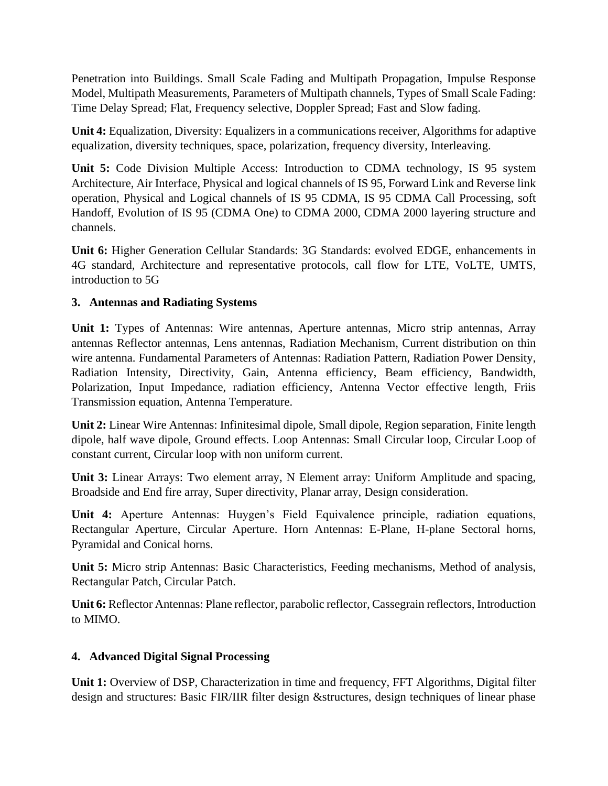Penetration into Buildings. Small Scale Fading and Multipath Propagation, Impulse Response Model, Multipath Measurements, Parameters of Multipath channels, Types of Small Scale Fading: Time Delay Spread; Flat, Frequency selective, Doppler Spread; Fast and Slow fading.

**Unit 4:** Equalization, Diversity: Equalizers in a communications receiver, Algorithms for adaptive equalization, diversity techniques, space, polarization, frequency diversity, Interleaving.

**Unit 5:** Code Division Multiple Access: Introduction to CDMA technology, IS 95 system Architecture, Air Interface, Physical and logical channels of IS 95, Forward Link and Reverse link operation, Physical and Logical channels of IS 95 CDMA, IS 95 CDMA Call Processing, soft Handoff, Evolution of IS 95 (CDMA One) to CDMA 2000, CDMA 2000 layering structure and channels.

**Unit 6:** Higher Generation Cellular Standards: 3G Standards: evolved EDGE, enhancements in 4G standard, Architecture and representative protocols, call flow for LTE, VoLTE, UMTS, introduction to 5G

#### **3. Antennas and Radiating Systems**

**Unit 1:** Types of Antennas: Wire antennas, Aperture antennas, Micro strip antennas, Array antennas Reflector antennas, Lens antennas, Radiation Mechanism, Current distribution on thin wire antenna. Fundamental Parameters of Antennas: Radiation Pattern, Radiation Power Density, Radiation Intensity, Directivity, Gain, Antenna efficiency, Beam efficiency, Bandwidth, Polarization, Input Impedance, radiation efficiency, Antenna Vector effective length, Friis Transmission equation, Antenna Temperature.

**Unit 2:** Linear Wire Antennas: Infinitesimal dipole, Small dipole, Region separation, Finite length dipole, half wave dipole, Ground effects. Loop Antennas: Small Circular loop, Circular Loop of constant current, Circular loop with non uniform current.

**Unit 3:** Linear Arrays: Two element array, N Element array: Uniform Amplitude and spacing, Broadside and End fire array, Super directivity, Planar array, Design consideration.

**Unit 4:** Aperture Antennas: Huygen's Field Equivalence principle, radiation equations, Rectangular Aperture, Circular Aperture. Horn Antennas: E-Plane, H-plane Sectoral horns, Pyramidal and Conical horns.

**Unit 5:** Micro strip Antennas: Basic Characteristics, Feeding mechanisms, Method of analysis, Rectangular Patch, Circular Patch.

**Unit 6:** Reflector Antennas: Plane reflector, parabolic reflector, Cassegrain reflectors, Introduction to MIMO.

#### **4. Advanced Digital Signal Processing**

**Unit 1:** Overview of DSP, Characterization in time and frequency, FFT Algorithms, Digital filter design and structures: Basic FIR/IIR filter design &structures, design techniques of linear phase